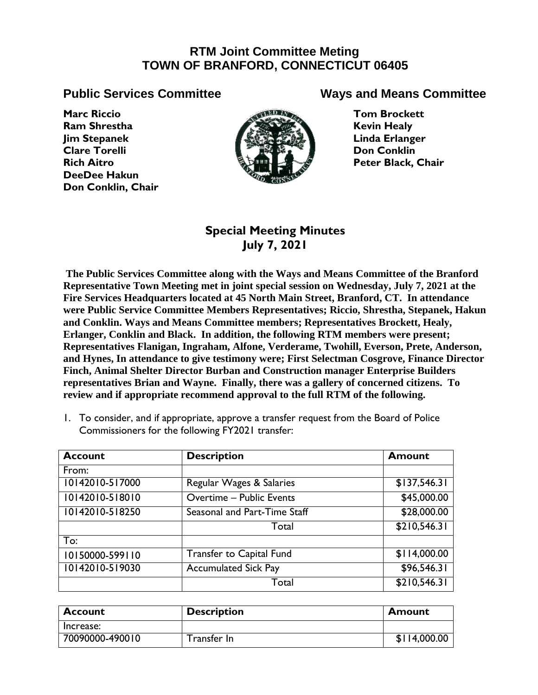# **RTM Joint Committee Meting TOWN OF BRANFORD, CONNECTICUT 06405**

**Marc Riccio Ram Shrestha Jim Stepanek Clare Torelli Rich Aitro DeeDee Hakun Don Conklin, Chair**



## **Public Services Committee Ways and Means Committee**

**Tom Brockett Kevin Healy Linda Erlanger Don Conklin Peter Black, Chair**

## **Special Meeting Minutes July 7, 2021**

**The Public Services Committee along with the Ways and Means Committee of the Branford Representative Town Meeting met in joint special session on Wednesday, July 7, 2021 at the Fire Services Headquarters located at 45 North Main Street, Branford, CT. In attendance were Public Service Committee Members Representatives; Riccio, Shrestha, Stepanek, Hakun and Conklin. Ways and Means Committee members; Representatives Brockett, Healy, Erlanger, Conklin and Black. In addition, the following RTM members were present; Representatives Flanigan, Ingraham, Alfone, Verderame, Twohill, Everson, Prete, Anderson, and Hynes, In attendance to give testimony were; First Selectman Cosgrove, Finance Director Finch, Animal Shelter Director Burban and Construction manager Enterprise Builders representatives Brian and Wayne. Finally, there was a gallery of concerned citizens. To review and if appropriate recommend approval to the full RTM of the following.**

1. To consider, and if appropriate, approve a transfer request from the Board of Police Commissioners for the following FY2021 transfer:

| <b>Account</b>  | <b>Description</b>           | <b>Amount</b> |
|-----------------|------------------------------|---------------|
| From:           |                              |               |
| 10142010-517000 | Regular Wages & Salaries     | \$137,546.31  |
| 10142010-518010 | Overtime - Public Events     | \$45,000.00   |
| 10142010-518250 | Seasonal and Part-Time Staff | \$28,000.00   |
|                 | Total                        | \$210,546.31  |
| To:             |                              |               |
| 10150000-599110 | Transfer to Capital Fund     | \$114,000.00  |
| 10142010-519030 | <b>Accumulated Sick Pay</b>  | \$96,546.31   |
|                 | Total                        | \$210,546.31  |

| <b>Account</b>  | <b>Description</b> | Amount       |
|-----------------|--------------------|--------------|
| Increase:       |                    |              |
| 70090000-490010 | Transfer In        | \$114,000.00 |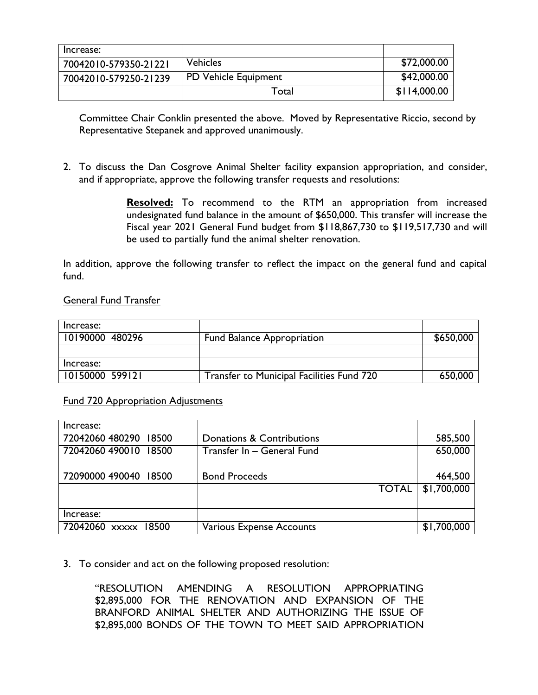| Increase:             |                      |              |
|-----------------------|----------------------|--------------|
| 70042010-579350-21221 | <b>Vehicles</b>      | \$72,000.00  |
| 70042010-579250-21239 | PD Vehicle Equipment | \$42,000.00  |
|                       | Total                | \$114,000.00 |

Committee Chair Conklin presented the above. Moved by Representative Riccio, second by Representative Stepanek and approved unanimously.

2. To discuss the Dan Cosgrove Animal Shelter facility expansion appropriation, and consider, and if appropriate, approve the following transfer requests and resolutions:

> **Resolved:** To recommend to the RTM an appropriation from increased undesignated fund balance in the amount of \$650,000. This transfer will increase the Fiscal year 2021 General Fund budget from \$118,867,730 to \$119,517,730 and will be used to partially fund the animal shelter renovation.

In addition, approve the following transfer to reflect the impact on the general fund and capital fund.

#### General Fund Transfer

| Increase:       |                                           |           |
|-----------------|-------------------------------------------|-----------|
| 10190000 480296 | <b>Fund Balance Appropriation</b>         | \$650,000 |
|                 |                                           |           |
| Increase:       |                                           |           |
| 10150000 599121 | Transfer to Municipal Facilities Fund 720 | 650,000   |

Fund 720 Appropriation Adjustments

| Increase:             |                                 |             |
|-----------------------|---------------------------------|-------------|
| 72042060 480290 18500 | Donations & Contributions       | 585,500     |
| 72042060 490010 18500 | Transfer In - General Fund      | 650,000     |
|                       |                                 |             |
| 72090000 490040 18500 | <b>Bond Proceeds</b>            | 464,500     |
|                       | <b>TOTAL</b>                    | \$1,700,000 |
|                       |                                 |             |
| Increase:             |                                 |             |
| 72042060 xxxxx 18500  | <b>Various Expense Accounts</b> | \$1,700,000 |

3. To consider and act on the following proposed resolution:

"RESOLUTION AMENDING A RESOLUTION APPROPRIATING \$2,895,000 FOR THE RENOVATION AND EXPANSION OF THE BRANFORD ANIMAL SHELTER AND AUTHORIZING THE ISSUE OF \$2,895,000 BONDS OF THE TOWN TO MEET SAID APPROPRIATION